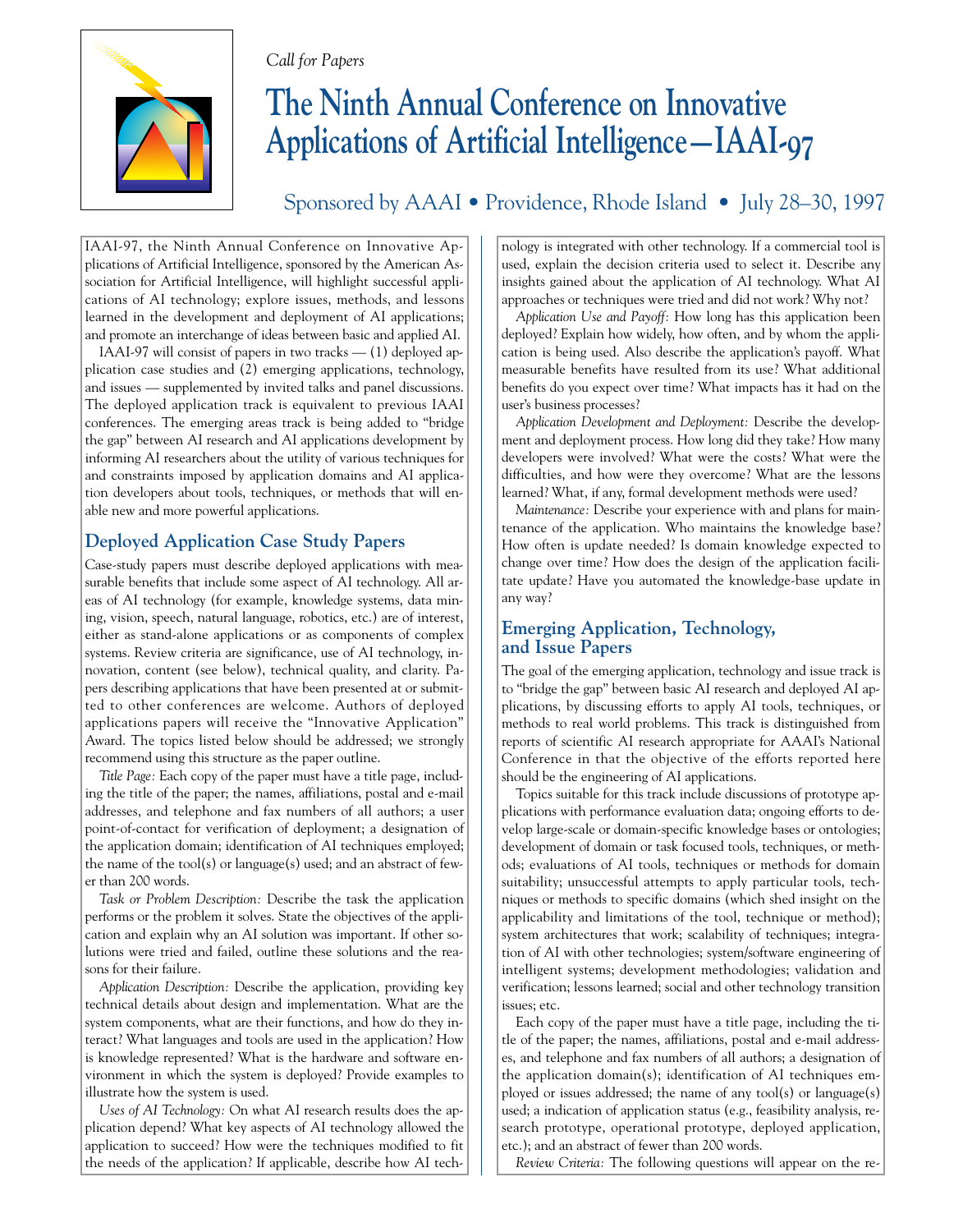### *Call for Papers*



# **The Ninth Annual Conference on Innovative Applications of Artificial Intelligence—IAAI-97**

Sponsored by AAAI • Providence, Rhode Island • July 28–30, 1997

IAAI-97, the Ninth Annual Conference on Innovative Applications of Artificial Intelligence, sponsored by the American Association for Artificial Intelligence, will highlight successful applications of AI technology; explore issues, methods, and lessons learned in the development and deployment of AI applications; and promote an interchange of ideas between basic and applied AI.

IAAI-97 will consist of papers in two tracks — (1) deployed application case studies and (2) emerging applications, technology, and issues — supplemented by invited talks and panel discussions. The deployed application track is equivalent to previous IAAI conferences. The emerging areas track is being added to "bridge the gap" between AI research and AI applications development by informing AI researchers about the utility of various techniques for and constraints imposed by application domains and AI application developers about tools, techniques, or methods that will enable new and more powerful applications.

## **Deployed Application Case Study Papers**

Case-study papers must describe deployed applications with measurable benefits that include some aspect of AI technology. All areas of AI technology (for example, knowledge systems, data mining, vision, speech, natural language, robotics, etc.) are of interest, either as stand-alone applications or as components of complex systems. Review criteria are significance, use of AI technology, innovation, content (see below), technical quality, and clarity. Papers describing applications that have been presented at or submitted to other conferences are welcome. Authors of deployed applications papers will receive the "Innovative Application" Award. The topics listed below should be addressed; we strongly recommend using this structure as the paper outline.

*Title Page:* Each copy of the paper must have a title page, including the title of the paper; the names, affiliations, postal and e-mail addresses, and telephone and fax numbers of all authors; a user point-of-contact for verification of deployment; a designation of the application domain; identification of AI techniques employed; the name of the tool(s) or language(s) used; and an abstract of fewer than 200 words.

*Task or Problem Description:* Describe the task the application performs or the problem it solves. State the objectives of the application and explain why an AI solution was important. If other solutions were tried and failed, outline these solutions and the reasons for their failure.

*Application Description:* Describe the application, providing key technical details about design and implementation. What are the system components, what are their functions, and how do they interact? What languages and tools are used in the application? How is knowledge represented? What is the hardware and software environment in which the system is deployed? Provide examples to illustrate how the system is used.

*Uses of AI Technology:* On what AI research results does the application depend? What key aspects of AI technology allowed the application to succeed? How were the techniques modified to fit the needs of the application? If applicable, describe how AI technology is integrated with other technology. If a commercial tool is used, explain the decision criteria used to select it. Describe any insights gained about the application of AI technology. What AI approaches or techniques were tried and did not work? Why not?

*Application Use and Payoff:* How long has this application been deployed? Explain how widely, how often, and by whom the application is being used. Also describe the application's payoff. What measurable benefits have resulted from its use? What additional benefits do you expect over time? What impacts has it had on the user's business processes?

*Application Development and Deployment:* Describe the development and deployment process. How long did they take? How many developers were involved? What were the costs? What were the difficulties, and how were they overcome? What are the lessons learned? What, if any, formal development methods were used?

*Maintenance:* Describe your experience with and plans for maintenance of the application. Who maintains the knowledge base? How often is update needed? Is domain knowledge expected to change over time? How does the design of the application facilitate update? Have you automated the knowledge-base update in any way?

## **Emerging Application, Technology, and Issue Papers**

The goal of the emerging application, technology and issue track is to "bridge the gap" between basic AI research and deployed AI applications, by discussing efforts to apply AI tools, techniques, or methods to real world problems. This track is distinguished from reports of scientific AI research appropriate for AAAI's National Conference in that the objective of the efforts reported here should be the engineering of AI applications.

Topics suitable for this track include discussions of prototype applications with performance evaluation data; ongoing efforts to develop large-scale or domain-specific knowledge bases or ontologies; development of domain or task focused tools, techniques, or methods; evaluations of AI tools, techniques or methods for domain suitability; unsuccessful attempts to apply particular tools, techniques or methods to specific domains (which shed insight on the applicability and limitations of the tool, technique or method); system architectures that work; scalability of techniques; integration of AI with other technologies; system/software engineering of intelligent systems; development methodologies; validation and verification; lessons learned; social and other technology transition issues; etc.

Each copy of the paper must have a title page, including the title of the paper; the names, affiliations, postal and e-mail addresses, and telephone and fax numbers of all authors; a designation of the application domain(s); identification of AI techniques employed or issues addressed; the name of any tool(s) or language(s) used; a indication of application status (e.g., feasibility analysis, research prototype, operational prototype, deployed application, etc.); and an abstract of fewer than 200 words.

*Review Criteria:* The following questions will appear on the re-